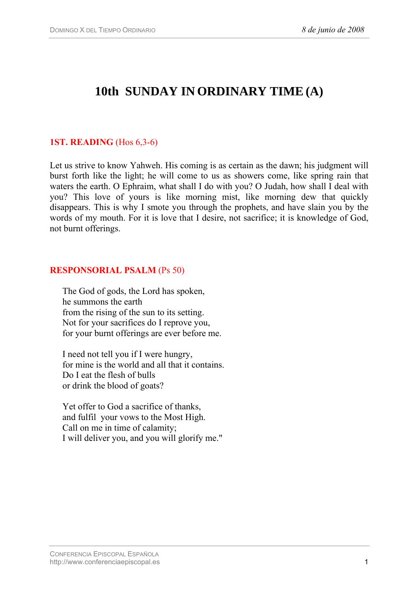# **10th SUNDAY IN ORDINARY TIME(A)**

# **1ST. READING** (Hos 6,3-6)

Let us strive to know Yahweh. His coming is as certain as the dawn; his judgment will burst forth like the light; he will come to us as showers come, like spring rain that waters the earth. O Ephraim, what shall I do with you? O Judah, how shall I deal with you? This love of yours is like morning mist, like morning dew that quickly disappears. This is why I smote you through the prophets, and have slain you by the words of my mouth. For it is love that I desire, not sacrifice; it is knowledge of God, not burnt offerings.

#### **RESPONSORIAL PSALM** (Ps 50)

The God of gods, the Lord has spoken, he summons the earth from the rising of the sun to its setting. Not for your sacrifices do I reprove you, for your burnt offerings are ever before me.

I need not tell you if I were hungry, for mine is the world and all that it contains. Do I eat the flesh of bulls or drink the blood of goats?

Yet offer to God a sacrifice of thanks, and fulfil your vows to the Most High. Call on me in time of calamity; I will deliver you, and you will glorify me."